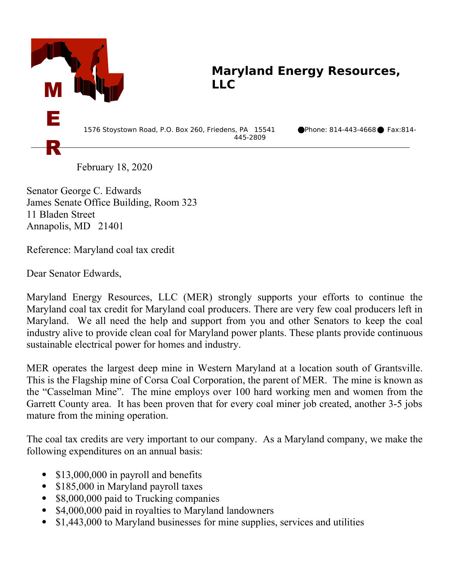

## **Maryland Energy Resources, LLC**

1576 Stoystown Road, P.O. Box 260, Friedens, PA 15541 Phone: 814-443-4668 Fax:814- 445-2809

February 18, 2020

Senator George C. Edwards James Senate Office Building, Room 323 11 Bladen Street Annapolis, MD 21401

Reference: Maryland coal tax credit

Dear Senator Edwards,

Maryland Energy Resources, LLC (MER) strongly supports your efforts to continue the Maryland coal tax credit for Maryland coal producers. There are very few coal producers left in Maryland. We all need the help and support from you and other Senators to keep the coal industry alive to provide clean coal for Maryland power plants. These plants provide continuous sustainable electrical power for homes and industry.

MER operates the largest deep mine in Western Maryland at a location south of Grantsville. This is the Flagship mine of Corsa Coal Corporation, the parent of MER. The mine is known as the "Casselman Mine". The mine employs over 100 hard working men and women from the Garrett County area. It has been proven that for every coal miner job created, another 3-5 jobs mature from the mining operation.

The coal tax credits are very important to our company. As a Maryland company, we make the following expenditures on an annual basis:

- \$13,000,000 in payroll and benefits
- \$185,000 in Maryland payroll taxes
- \$8,000,000 paid to Trucking companies
- \$4,000,000 paid in royalties to Maryland landowners
- \$1,443,000 to Maryland businesses for mine supplies, services and utilities